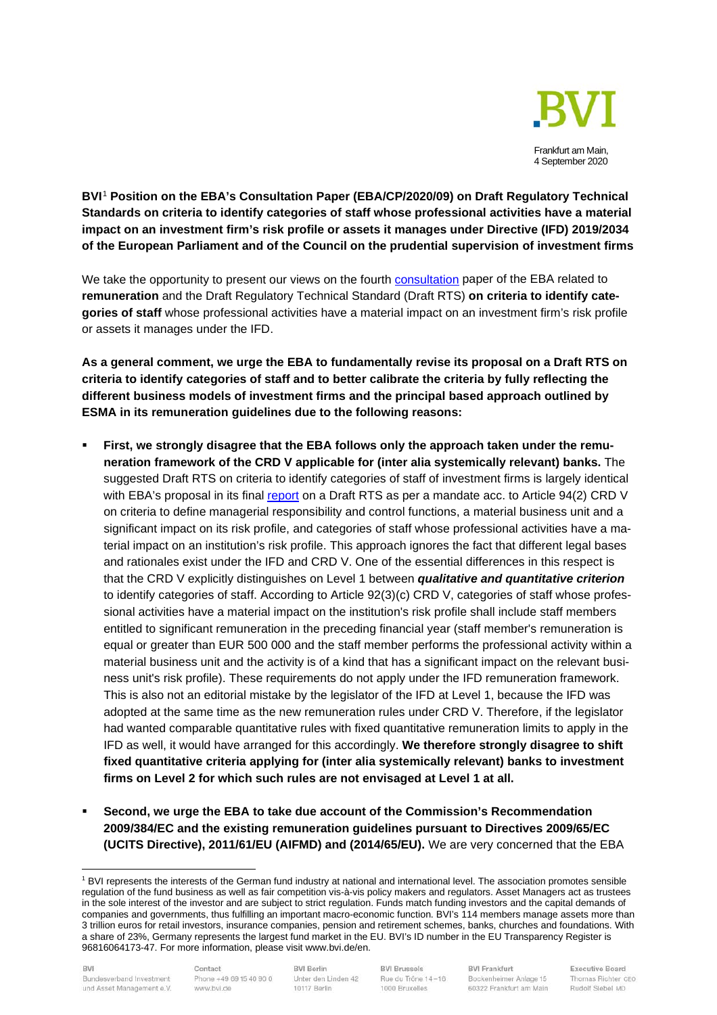

**BVI**[1](#page-0-0) **Position on the EBA's Consultation Paper (EBA/CP/2020/09) on Draft Regulatory Technical Standards on criteria to identify categories of staff whose professional activities have a material impact on an investment firm's risk profile or assets it manages under Directive (IFD) 2019/2034 of the European Parliament and of the Council on the prudential supervision of investment firms**

We take the opportunity to present our views on the fourth [consultation](https://eba.europa.eu/sites/default/documents/files/document_library/Publications/Consultations/2020/CP%20on%20RTS%20on%20IS%20under%20IFD/884631/EBA-CP-2020-09%20CP%20on%20RTS%20on%20IS%20under%20IFD.pdf) paper of the EBA related to **remuneration** and the Draft Regulatory Technical Standard (Draft RTS) **on criteria to identify categories of staff** whose professional activities have a material impact on an investment firm's risk profile or assets it manages under the IFD.

**As a general comment, we urge the EBA to fundamentally revise its proposal on a Draft RTS on criteria to identify categories of staff and to better calibrate the criteria by fully reflecting the different business models of investment firms and the principal based approach outlined by ESMA in its remuneration guidelines due to the following reasons:** 

- **First, we strongly disagree that the EBA follows only the approach taken under the remuneration framework of the CRD V applicable for (inter alia systemically relevant) banks.** The suggested Draft RTS on criteria to identify categories of staff of investment firms is largely identical with EBA's proposal in its final [report](https://eba.europa.eu/sites/default/documents/files/document_library/Publications/Draft%20Technical%20Standards/2020/RTS/885803/EBA-RTS-2020-05%20RTS%20on%20identified%20staff.pdf) on a Draft RTS as per a mandate acc. to Article 94(2) CRD V on criteria to define managerial responsibility and control functions, a material business unit and a significant impact on its risk profile, and categories of staff whose professional activities have a material impact on an institution's risk profile. This approach ignores the fact that different legal bases and rationales exist under the IFD and CRD V. One of the essential differences in this respect is that the CRD V explicitly distinguishes on Level 1 between *qualitative and quantitative criterion* to identify categories of staff. According to Article 92(3)(c) CRD V, categories of staff whose professional activities have a material impact on the institution's risk profile shall include staff members entitled to significant remuneration in the preceding financial year (staff member's remuneration is equal or greater than EUR 500 000 and the staff member performs the professional activity within a material business unit and the activity is of a kind that has a significant impact on the relevant business unit's risk profile). These requirements do not apply under the IFD remuneration framework. This is also not an editorial mistake by the legislator of the IFD at Level 1, because the IFD was adopted at the same time as the new remuneration rules under CRD V. Therefore, if the legislator had wanted comparable quantitative rules with fixed quantitative remuneration limits to apply in the IFD as well, it would have arranged for this accordingly. **We therefore strongly disagree to shift fixed quantitative criteria applying for (inter alia systemically relevant) banks to investment firms on Level 2 for which such rules are not envisaged at Level 1 at all.**
- **Second, we urge the EBA to take due account of the Commission's Recommendation 2009/384/EC and the existing remuneration guidelines pursuant to Directives 2009/65/EC (UCITS Directive), 2011/61/EU (AIFMD) and (2014/65/EU).** We are very concerned that the EBA

Contact Phone +49 69 15 40 90 0 www.bvi.de

**BVI Berlin** Unter den Linden 42 10117 Berlin

**BVI Brussels** Rue du Trône 14-16 1000 Bruxelles

**BVI Frankfurt** Bockenheimer Anlage 15 60322 Frankfurt am Main

<span id="page-0-0"></span><sup>&</sup>lt;sup>1</sup> BVI represents the interests of the German fund industry at national and international level. The association promotes sensible regulation of the fund business as well as fair competition vis-à-vis policy makers and regulators. Asset Managers act as trustees in the sole interest of the investor and are subject to strict regulation. Funds match funding investors and the capital demands of companies and governments, thus fulfilling an important macro-economic function. BVI's 114 members manage assets more than 3 trillion euros for retail investors, insurance companies, pension and retirement schemes, banks, churches and foundations. With a share of 23%, Germany represents the largest fund market in the EU. BVI's ID number in the EU Transparency Register is 96816064173-47. For more information, please visit www.bvi.de/en.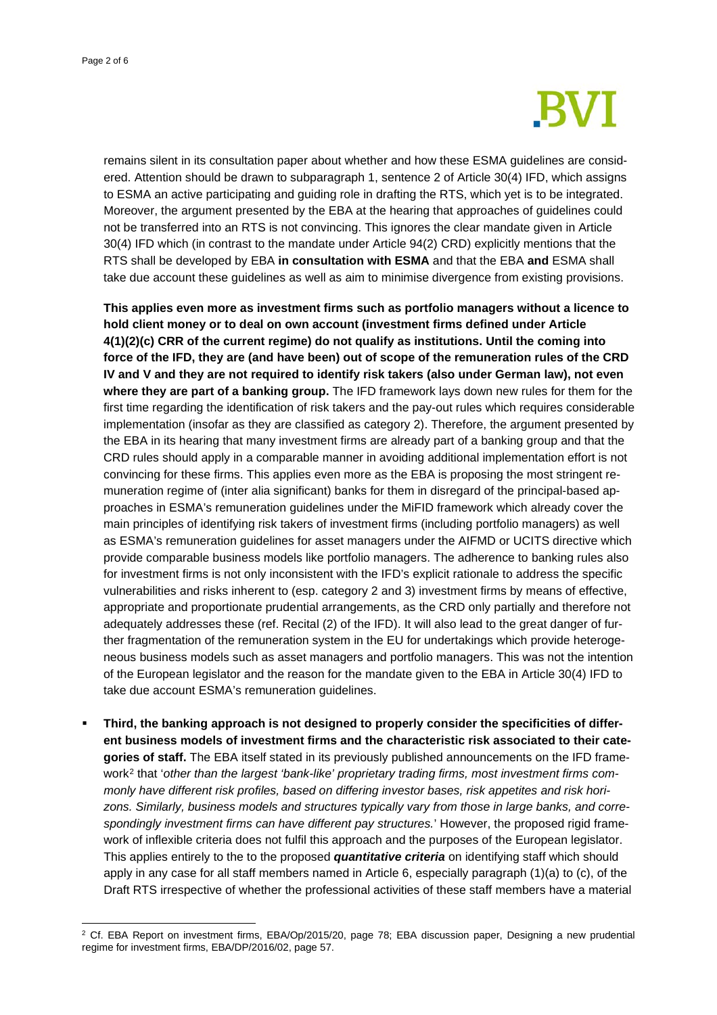

remains silent in its consultation paper about whether and how these ESMA guidelines are considered. Attention should be drawn to subparagraph 1, sentence 2 of Article 30(4) IFD, which assigns to ESMA an active participating and guiding role in drafting the RTS, which yet is to be integrated. Moreover, the argument presented by the EBA at the hearing that approaches of guidelines could not be transferred into an RTS is not convincing. This ignores the clear mandate given in Article 30(4) IFD which (in contrast to the mandate under Article 94(2) CRD) explicitly mentions that the RTS shall be developed by EBA **in consultation with ESMA** and that the EBA **and** ESMA shall take due account these guidelines as well as aim to minimise divergence from existing provisions.

**This applies even more as investment firms such as portfolio managers without a licence to hold client money or to deal on own account (investment firms defined under Article 4(1)(2)(c) CRR of the current regime) do not qualify as institutions. Until the coming into force of the IFD, they are (and have been) out of scope of the remuneration rules of the CRD IV and V and they are not required to identify risk takers (also under German law), not even where they are part of a banking group.** The IFD framework lays down new rules for them for the first time regarding the identification of risk takers and the pay-out rules which requires considerable implementation (insofar as they are classified as category 2). Therefore, the argument presented by the EBA in its hearing that many investment firms are already part of a banking group and that the CRD rules should apply in a comparable manner in avoiding additional implementation effort is not convincing for these firms. This applies even more as the EBA is proposing the most stringent remuneration regime of (inter alia significant) banks for them in disregard of the principal-based approaches in ESMA's remuneration guidelines under the MiFID framework which already cover the main principles of identifying risk takers of investment firms (including portfolio managers) as well as ESMA's remuneration guidelines for asset managers under the AIFMD or UCITS directive which provide comparable business models like portfolio managers. The adherence to banking rules also for investment firms is not only inconsistent with the IFD's explicit rationale to address the specific vulnerabilities and risks inherent to (esp. category 2 and 3) investment firms by means of effective, appropriate and proportionate prudential arrangements, as the CRD only partially and therefore not adequately addresses these (ref. Recital (2) of the IFD). It will also lead to the great danger of further fragmentation of the remuneration system in the EU for undertakings which provide heterogeneous business models such as asset managers and portfolio managers. This was not the intention of the European legislator and the reason for the mandate given to the EBA in Article 30(4) IFD to take due account ESMA's remuneration guidelines.

 **Third, the banking approach is not designed to properly consider the specificities of different business models of investment firms and the characteristic risk associated to their categories of staff.** The EBA itself stated in its previously published announcements on the IFD framework[2](#page-1-0) that '*other than the largest 'bank-like' proprietary trading firms, most investment firms commonly have different risk profiles, based on differing investor bases, risk appetites and risk horizons. Similarly, business models and structures typically vary from those in large banks, and correspondingly investment firms can have different pay structures.*' However, the proposed rigid framework of inflexible criteria does not fulfil this approach and the purposes of the European legislator. This applies entirely to the to the proposed *quantitative criteria* on identifying staff which should apply in any case for all staff members named in Article 6, especially paragraph (1)(a) to (c), of the Draft RTS irrespective of whether the professional activities of these staff members have a material

<span id="page-1-0"></span><sup>&</sup>lt;sup>2</sup> Cf. EBA Report on investment firms, EBA/Op/2015/20, page 78; EBA discussion paper, Designing a new prudential regime for investment firms, EBA/DP/2016/02, page 57.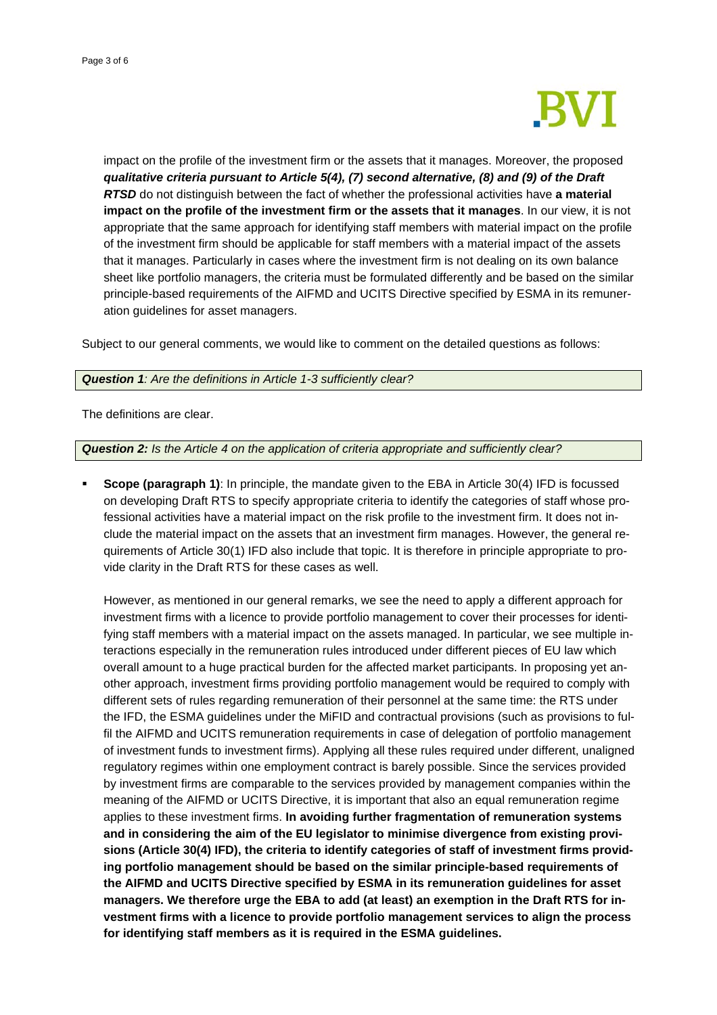

impact on the profile of the investment firm or the assets that it manages. Moreover, the proposed *qualitative criteria pursuant to Article 5(4), (7) second alternative, (8) and (9) of the Draft RTSD* do not distinguish between the fact of whether the professional activities have **a material impact on the profile of the investment firm or the assets that it manages**. In our view, it is not appropriate that the same approach for identifying staff members with material impact on the profile of the investment firm should be applicable for staff members with a material impact of the assets that it manages. Particularly in cases where the investment firm is not dealing on its own balance sheet like portfolio managers, the criteria must be formulated differently and be based on the similar principle-based requirements of the AIFMD and UCITS Directive specified by ESMA in its remuneration guidelines for asset managers.

Subject to our general comments, we would like to comment on the detailed questions as follows:

## *Question 1: Are the definitions in Article 1-3 sufficiently clear?*

The definitions are clear.

## *Question 2: Is the Article 4 on the application of criteria appropriate and sufficiently clear?*

 **Scope (paragraph 1)**: In principle, the mandate given to the EBA in Article 30(4) IFD is focussed on developing Draft RTS to specify appropriate criteria to identify the categories of staff whose professional activities have a material impact on the risk profile to the investment firm. It does not include the material impact on the assets that an investment firm manages. However, the general requirements of Article 30(1) IFD also include that topic. It is therefore in principle appropriate to provide clarity in the Draft RTS for these cases as well.

However, as mentioned in our general remarks, we see the need to apply a different approach for investment firms with a licence to provide portfolio management to cover their processes for identifying staff members with a material impact on the assets managed. In particular, we see multiple interactions especially in the remuneration rules introduced under different pieces of EU law which overall amount to a huge practical burden for the affected market participants. In proposing yet another approach, investment firms providing portfolio management would be required to comply with different sets of rules regarding remuneration of their personnel at the same time: the RTS under the IFD, the ESMA guidelines under the MiFID and contractual provisions (such as provisions to fulfil the AIFMD and UCITS remuneration requirements in case of delegation of portfolio management of investment funds to investment firms). Applying all these rules required under different, unaligned regulatory regimes within one employment contract is barely possible. Since the services provided by investment firms are comparable to the services provided by management companies within the meaning of the AIFMD or UCITS Directive, it is important that also an equal remuneration regime applies to these investment firms. **In avoiding further fragmentation of remuneration systems and in considering the aim of the EU legislator to minimise divergence from existing provisions (Article 30(4) IFD), the criteria to identify categories of staff of investment firms providing portfolio management should be based on the similar principle-based requirements of the AIFMD and UCITS Directive specified by ESMA in its remuneration guidelines for asset managers. We therefore urge the EBA to add (at least) an exemption in the Draft RTS for investment firms with a licence to provide portfolio management services to align the process for identifying staff members as it is required in the ESMA guidelines.**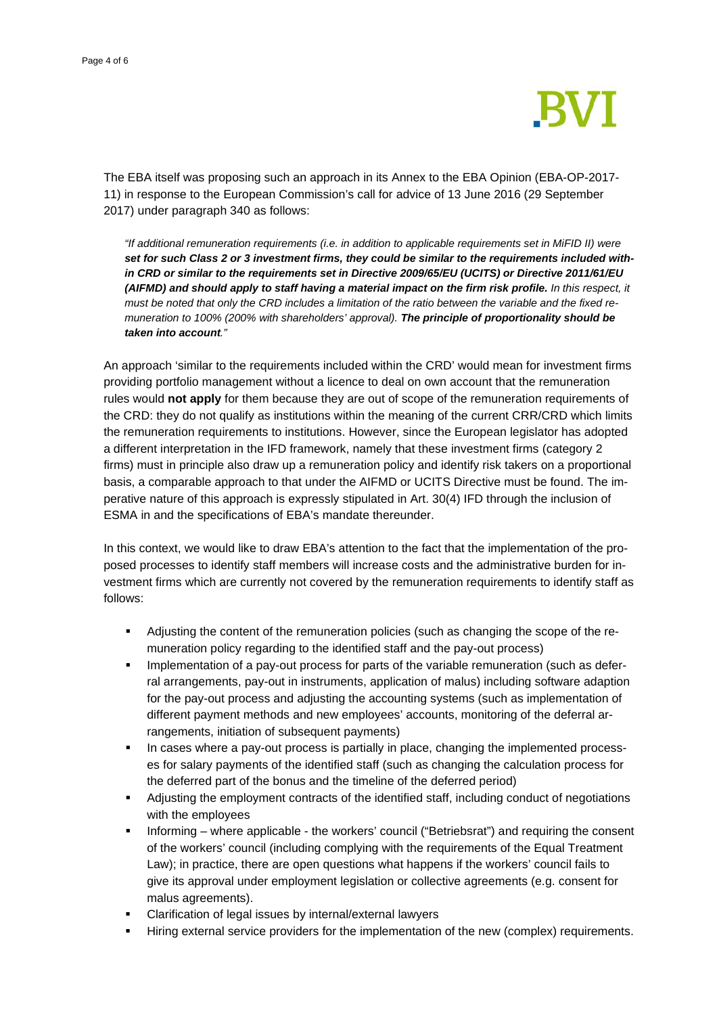

The EBA itself was proposing such an approach in its Annex to the EBA Opinion (EBA-OP-2017- 11) in response to the European Commission's call for advice of 13 June 2016 (29 September 2017) under paragraph 340 as follows:

*"If additional remuneration requirements (i.e. in addition to applicable requirements set in MiFID II) were set for such Class 2 or 3 investment firms, they could be similar to the requirements included within CRD or similar to the requirements set in Directive 2009/65/EU (UCITS) or Directive 2011/61/EU (AIFMD) and should apply to staff having a material impact on the firm risk profile. In this respect, it must be noted that only the CRD includes a limitation of the ratio between the variable and the fixed remuneration to 100% (200% with shareholders' approval). The principle of proportionality should be taken into account."*

An approach 'similar to the requirements included within the CRD' would mean for investment firms providing portfolio management without a licence to deal on own account that the remuneration rules would **not apply** for them because they are out of scope of the remuneration requirements of the CRD: they do not qualify as institutions within the meaning of the current CRR/CRD which limits the remuneration requirements to institutions. However, since the European legislator has adopted a different interpretation in the IFD framework, namely that these investment firms (category 2 firms) must in principle also draw up a remuneration policy and identify risk takers on a proportional basis, a comparable approach to that under the AIFMD or UCITS Directive must be found. The imperative nature of this approach is expressly stipulated in Art. 30(4) IFD through the inclusion of ESMA in and the specifications of EBA's mandate thereunder.

In this context, we would like to draw EBA's attention to the fact that the implementation of the proposed processes to identify staff members will increase costs and the administrative burden for investment firms which are currently not covered by the remuneration requirements to identify staff as follows:

- Adjusting the content of the remuneration policies (such as changing the scope of the remuneration policy regarding to the identified staff and the pay-out process)
- **Implementation of a pay-out process for parts of the variable remuneration (such as defer**ral arrangements, pay-out in instruments, application of malus) including software adaption for the pay-out process and adjusting the accounting systems (such as implementation of different payment methods and new employees' accounts, monitoring of the deferral arrangements, initiation of subsequent payments)
- In cases where a pay-out process is partially in place, changing the implemented processes for salary payments of the identified staff (such as changing the calculation process for the deferred part of the bonus and the timeline of the deferred period)
- Adjusting the employment contracts of the identified staff, including conduct of negotiations with the employees
- Informing where applicable the workers' council ("Betriebsrat") and requiring the consent of the workers' council (including complying with the requirements of the Equal Treatment Law); in practice, there are open questions what happens if the workers' council fails to give its approval under employment legislation or collective agreements (e.g. consent for malus agreements).
- Clarification of legal issues by internal/external lawyers
- Hiring external service providers for the implementation of the new (complex) requirements.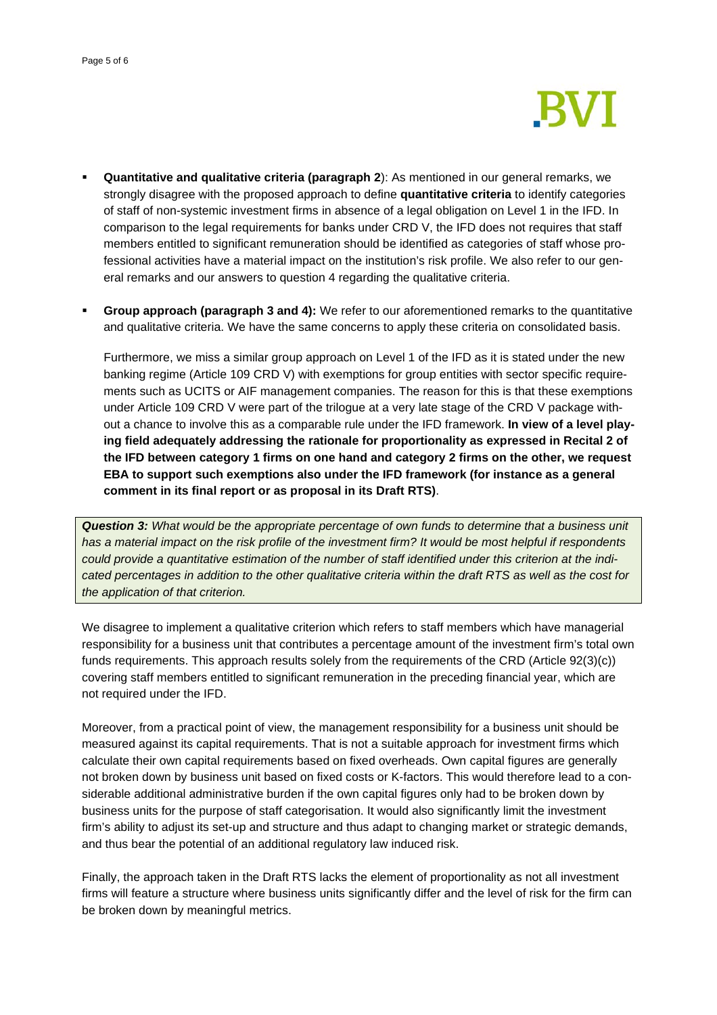

- **Quantitative and qualitative criteria (paragraph 2**): As mentioned in our general remarks, we strongly disagree with the proposed approach to define **quantitative criteria** to identify categories of staff of non-systemic investment firms in absence of a legal obligation on Level 1 in the IFD. In comparison to the legal requirements for banks under CRD V, the IFD does not requires that staff members entitled to significant remuneration should be identified as categories of staff whose professional activities have a material impact on the institution's risk profile. We also refer to our general remarks and our answers to question 4 regarding the qualitative criteria.
- **Group approach (paragraph 3 and 4):** We refer to our aforementioned remarks to the quantitative and qualitative criteria. We have the same concerns to apply these criteria on consolidated basis.

Furthermore, we miss a similar group approach on Level 1 of the IFD as it is stated under the new banking regime (Article 109 CRD V) with exemptions for group entities with sector specific requirements such as UCITS or AIF management companies. The reason for this is that these exemptions under Article 109 CRD V were part of the trilogue at a very late stage of the CRD V package without a chance to involve this as a comparable rule under the IFD framework. **In view of a level playing field adequately addressing the rationale for proportionality as expressed in Recital 2 of the IFD between category 1 firms on one hand and category 2 firms on the other, we request EBA to support such exemptions also under the IFD framework (for instance as a general comment in its final report or as proposal in its Draft RTS)**.

*Question 3: What would be the appropriate percentage of own funds to determine that a business unit has a material impact on the risk profile of the investment firm? It would be most helpful if respondents could provide a quantitative estimation of the number of staff identified under this criterion at the indicated percentages in addition to the other qualitative criteria within the draft RTS as well as the cost for the application of that criterion.*

We disagree to implement a qualitative criterion which refers to staff members which have managerial responsibility for a business unit that contributes a percentage amount of the investment firm's total own funds requirements. This approach results solely from the requirements of the CRD (Article 92(3)(c)) covering staff members entitled to significant remuneration in the preceding financial year, which are not required under the IFD.

Moreover, from a practical point of view, the management responsibility for a business unit should be measured against its capital requirements. That is not a suitable approach for investment firms which calculate their own capital requirements based on fixed overheads. Own capital figures are generally not broken down by business unit based on fixed costs or K-factors. This would therefore lead to a considerable additional administrative burden if the own capital figures only had to be broken down by business units for the purpose of staff categorisation. It would also significantly limit the investment firm's ability to adjust its set-up and structure and thus adapt to changing market or strategic demands, and thus bear the potential of an additional regulatory law induced risk.

Finally, the approach taken in the Draft RTS lacks the element of proportionality as not all investment firms will feature a structure where business units significantly differ and the level of risk for the firm can be broken down by meaningful metrics.